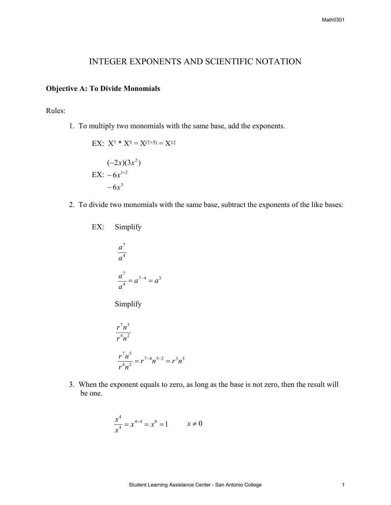## INTEGER EXPONENTS AND SCIENTIFIC NOTATION

## **Objective A: To Divide Monomials**

Rules:

1. To multiply two monomials with the same base, add the exponents.

EX: 
$$
X^7 * X^5 = X^{(7+5)} = X^{12}
$$
  
\n $(-2x)(3x^2)$   
\nEX:  $-6x^{1+2}$   
\n $-6x^3$ 

2. To divide two monomials with the same base, subtract the exponents of the like bases:

Simplify  $EX:$ 

$$
\frac{a^7}{a^4}
$$

$$
\frac{a^7}{a^4} = a^{7-4} = a^3
$$

Simplify

$$
\frac{r^7 n^5}{r^4 n^2}
$$

$$
\frac{r^7 n^5}{r^4 n^2} = r^{7-4} n^{5-2} = r^3 n^3
$$

3. When the exponent equals to zero, as long as the base is not zero, then the result will be one.

$$
\frac{x^4}{x^4} = x^{4-4} = x^0 = 1 \qquad x \neq 0
$$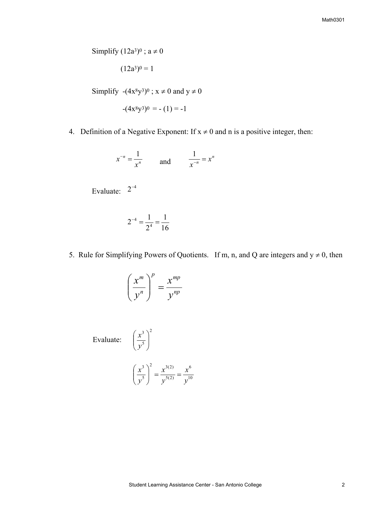Simplify  $(12a^3)^0$ ;  $a \neq 0$ 

$$
(12a^3)^0=1
$$

Simplify  $-(4x<sup>8</sup>y<sup>3</sup>)<sup>0</sup>$ ;  $x \ne 0$  and  $y \ne 0$ 

$$
-(4x^8y^3)^0 = -(1) = -1
$$

4. Definition of a Negative Exponent: If  $x \neq 0$  and n is a positive integer, then:

$$
x^{-n} = \frac{1}{x^n} \qquad \text{and} \qquad \frac{1}{x^{-n}} = x^n
$$

Evaluate:  $2^{-4}$ 

$$
2^{-4} = \frac{1}{2^4} = \frac{1}{16}
$$

5. Rule for Simplifying Powers of Quotients. If m, n, and Q are integers and  $y \ne 0$ , then

$$
\left(\frac{x^m}{y^n}\right)^p = \frac{x^{mp}}{y^{np}}
$$

2

 $\setminus$ 

5 3  $\overline{\phantom{a}}$ J

 $\overline{\phantom{a}}$  $\setminus$ 

ſ *y*

Evaluate:  $\left(\frac{x}{x}\right)$ 

$$
\left(\frac{x^3}{y^5}\right)^2 = \frac{x^{3(2)}}{y^{5(2)}} = \frac{x^6}{y^{10}}
$$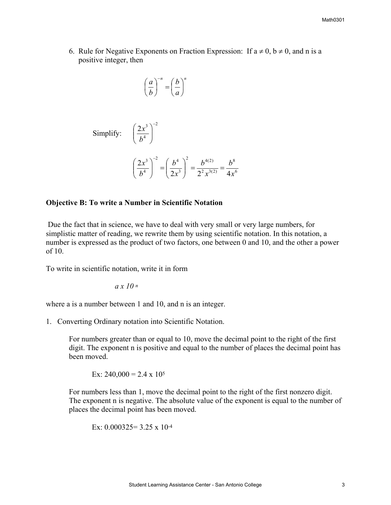6. Rule for Negative Exponents on Fraction Expression: If  $a \neq 0$ ,  $b \neq 0$ , and n is a positive integer, then

$$
\left(\frac{a}{b}\right)^{-n} = \left(\frac{b}{a}\right)^{n}
$$

2

 $\setminus$ 

4  $2x^3$ <sup>-</sup>  $\overline{\phantom{a}}$ J

*b*

Simplify: 
$$
\left(\frac{2x}{b^4}\right)
$$

$$
\left(\frac{2x^3}{b^4}\right)^{-2} = \left(\frac{b^4}{2x^3}\right)^2 = \frac{b^{4(2)}}{2^2x^{3(2)}} = \frac{b^8}{4x^6}
$$

## **bjective B: To write a Number in Scientific Notation O**

Due the fact that in science, we have to deal with very small or very large numbers, for simplistic matter of reading, we rewrite them by using scientific notation. In this notation, a number is expressed as the product of two factors, one between 0 and 10, and the other a power of 10.

To write in scientific notation, write it in form

$$
a\,x\,10\,n
$$

where a is a number between 1 and 10, and n is an integer.

. Converting Ordinary notation into Scientific Notation. 1

For numbers greater than or equal to 10, move the decimal point to the right of the first digit. The exponent n is positive and equal to the number of places the decimal point has been moved.

$$
Ex: 240,000 = 2.4 \times 10^5
$$

For numbers less than 1, move the decimal point to the right of the first nonzero digit. The exponent n is negative. The absolute value of the exponent is equal to the number of places the decimal point has been moved.

Ex: 
$$
0.000325 = 3.25 \times 10^{-4}
$$